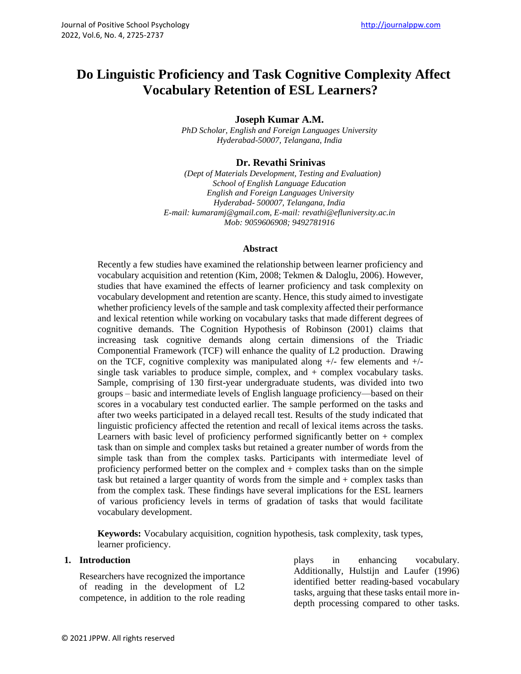# **Do Linguistic Proficiency and Task Cognitive Complexity Affect Vocabulary Retention of ESL Learners?**

**Joseph Kumar A.M.**

*PhD Scholar, English and Foreign Languages University Hyderabad-50007, Telangana, India*

### **Dr. Revathi Srinivas**

 *(Dept of Materials Development, Testing and Evaluation) School of English Language Education English and Foreign Languages University Hyderabad- 500007, Telangana, India E-mail: kumaramj@gmail.com, E-mail: revathi@efluniversity.ac.in Mob: 9059606908; 9492781916*

#### **Abstract**

Recently a few studies have examined the relationship between learner proficiency and vocabulary acquisition and retention (Kim, 2008; Tekmen & Daloglu, 2006). However, studies that have examined the effects of learner proficiency and task complexity on vocabulary development and retention are scanty. Hence, this study aimed to investigate whether proficiency levels of the sample and task complexity affected their performance and lexical retention while working on vocabulary tasks that made different degrees of cognitive demands. The Cognition Hypothesis of Robinson (2001) claims that increasing task cognitive demands along certain dimensions of the Triadic Componential Framework (TCF) will enhance the quality of L2 production. Drawing on the TCF, cognitive complexity was manipulated along  $+/-$  few elements and  $+/$ single task variables to produce simple, complex, and + complex vocabulary tasks. Sample, comprising of 130 first-year undergraduate students, was divided into two groups – basic and intermediate levels of English language proficiency—based on their scores in a vocabulary test conducted earlier. The sample performed on the tasks and after two weeks participated in a delayed recall test. Results of the study indicated that linguistic proficiency affected the retention and recall of lexical items across the tasks. Learners with basic level of proficiency performed significantly better on + complex task than on simple and complex tasks but retained a greater number of words from the simple task than from the complex tasks. Participants with intermediate level of proficiency performed better on the complex and + complex tasks than on the simple task but retained a larger quantity of words from the simple and + complex tasks than from the complex task. These findings have several implications for the ESL learners of various proficiency levels in terms of gradation of tasks that would facilitate vocabulary development.

**Keywords:** Vocabulary acquisition, cognition hypothesis, task complexity, task types, learner proficiency.

### **1. Introduction**

Researchers have recognized the importance of reading in the development of L2 competence, in addition to the role reading

plays in enhancing vocabulary. Additionally, Hulstijn and Laufer (1996) identified better reading-based vocabulary tasks, arguing that these tasks entail more indepth processing compared to other tasks.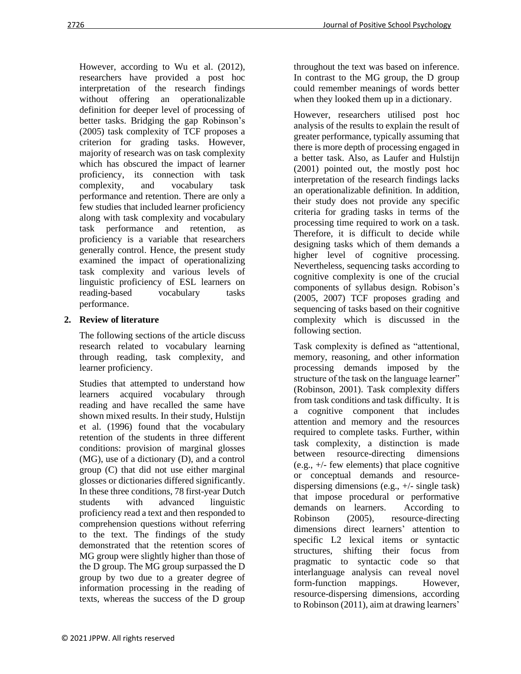However, according to Wu et al. (2012), researchers have provided a post hoc interpretation of the research findings without offering an operationalizable definition for deeper level of processing of better tasks. Bridging the gap Robinson's (2005) task complexity of TCF proposes a criterion for grading tasks. However, majority of research was on task complexity which has obscured the impact of learner proficiency, its connection with task complexity, and vocabulary task performance and retention. There are only a few studies that included learner proficiency along with task complexity and vocabulary task performance and retention, as proficiency is a variable that researchers generally control. Hence, the present study examined the impact of operationalizing task complexity and various levels of linguistic proficiency of ESL learners on reading-based vocabulary tasks performance.

## **2. Review of literature**

The following sections of the article discuss research related to vocabulary learning through reading, task complexity, and learner proficiency.

Studies that attempted to understand how learners acquired vocabulary through reading and have recalled the same have shown mixed results. In their study, Hulstijn et al. (1996) found that the vocabulary retention of the students in three different conditions: provision of marginal glosses (MG), use of a dictionary (D), and a control group (C) that did not use either marginal glosses or dictionaries differed significantly. In these three conditions, 78 first-year Dutch students with advanced linguistic proficiency read a text and then responded to comprehension questions without referring to the text. The findings of the study demonstrated that the retention scores of MG group were slightly higher than those of the D group. The MG group surpassed the D group by two due to a greater degree of information processing in the reading of texts, whereas the success of the D group

throughout the text was based on inference. In contrast to the MG group, the D group could remember meanings of words better when they looked them up in a dictionary.

However, researchers utilised post hoc analysis of the results to explain the result of greater performance, typically assuming that there is more depth of processing engaged in a better task. Also, as Laufer and Hulstijn (2001) pointed out, the mostly post hoc interpretation of the research findings lacks an operationalizable definition. In addition, their study does not provide any specific criteria for grading tasks in terms of the processing time required to work on a task. Therefore, it is difficult to decide while designing tasks which of them demands a higher level of cognitive processing. Nevertheless, sequencing tasks according to cognitive complexity is one of the crucial components of syllabus design. Robison's (2005, 2007) TCF proposes grading and sequencing of tasks based on their cognitive complexity which is discussed in the following section.

Task complexity is defined as "attentional, memory, reasoning, and other information processing demands imposed by the structure of the task on the language learner" (Robinson, 2001). Task complexity differs from task conditions and task difficulty. It is a cognitive component that includes attention and memory and the resources required to complete tasks. Further, within task complexity, a distinction is made between resource-directing dimensions (e.g., +/- few elements) that place cognitive or conceptual demands and resourcedispersing dimensions (e.g., +/- single task) that impose procedural or performative demands on learners. According to Robinson (2005), resource-directing dimensions direct learners' attention to specific L2 lexical items or syntactic structures, shifting their focus from pragmatic to syntactic code so that interlanguage analysis can reveal novel form-function mappings. However, resource-dispersing dimensions, according to Robinson (2011), aim at drawing learners'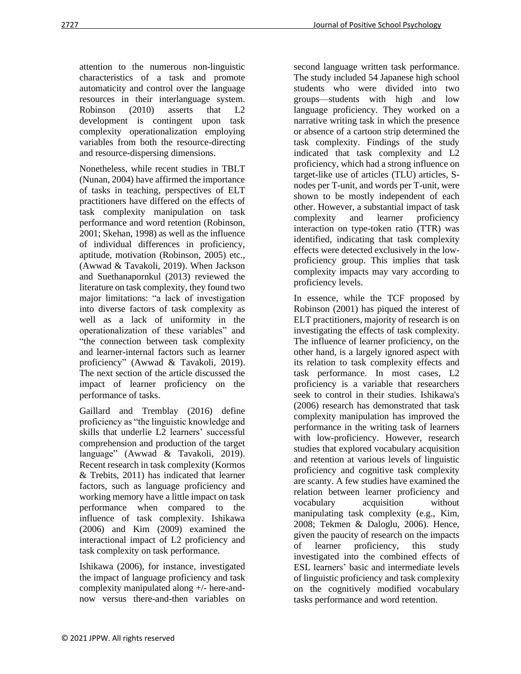attention to the numerous non-linguistic characteristics of a task and promote automaticity and control over the language resources in their interlanguage system. Robinson (2010) asserts that L2 development is contingent upon task complexity operationalization employing variables from both the resource-directing and resource-dispersing dimensions.

Nonetheless, while recent studies in TBLT (Nunan, 2004) have affirmed the importance of tasks in teaching, perspectives of ELT practitioners have differed on the effects of task complexity manipulation on task performance and word retention (Robinson, 2001; Skehan, 1998) as well as the influence of individual differences in proficiency, aptitude, motivation (Robinson, 2005) etc., (Awwad & Tavakoli, 2019). When Jackson and Suethanapornkul (2013) reviewed the literature on task complexity, they found two major limitations: "a lack of investigation into diverse factors of task complexity as well as a lack of uniformity in the operationalization of these variables" and "the connection between task complexity and learner-internal factors such as learner proficiency" (Awwad & Tavakoli, 2019). The next section of the article discussed the impact of learner proficiency on the performance of tasks.

Gaillard and Tremblay (2016) define proficiency as "the linguistic knowledge and skills that underlie L2 learners' successful comprehension and production of the target language" (Awwad & Tavakoli, 2019). Recent research in task complexity (Kormos & Trebits, 2011) has indicated that learner factors, such as language proficiency and working memory have a little impact on task performance when compared to the influence of task complexity. Ishikawa (2006) and Kim (2009) examined the interactional impact of L2 proficiency and task complexity on task performance.

Ishikawa (2006), for instance, investigated the impact of language proficiency and task complexity manipulated along +/- here-andnow versus there-and-then variables on second language written task performance. The study included 54 Japanese high school students who were divided into two groups—students with high and low language proficiency. They worked on a narrative writing task in which the presence or absence of a cartoon strip determined the task complexity. Findings of the study indicated that task complexity and L2 proficiency, which had a strong influence on target-like use of articles (TLU) articles, Snodes per T-unit, and words per T-unit, were shown to be mostly independent of each other. However, a substantial impact of task complexity and learner proficiency interaction on type-token ratio (TTR) was identified, indicating that task complexity effects were detected exclusively in the lowproficiency group. This implies that task complexity impacts may vary according to proficiency levels.

In essence, while the TCF proposed by Robinson (2001) has piqued the interest of ELT practitioners, majority of research is on investigating the effects of task complexity. The influence of learner proficiency, on the other hand, is a largely ignored aspect with its relation to task complexity effects and task performance. In most cases, L2 proficiency is a variable that researchers seek to control in their studies. Ishikawa's (2006) research has demonstrated that task complexity manipulation has improved the performance in the writing task of learners with low-proficiency. However, research studies that explored vocabulary acquisition and retention at various levels of linguistic proficiency and cognitive task complexity are scanty. A few studies have examined the relation between learner proficiency and vocabulary acquisition without manipulating task complexity (e.g., Kim, 2008; Tekmen & Daloglu, 2006). Hence, given the paucity of research on the impacts of learner proficiency, this study investigated into the combined effects of ESL learners' basic and intermediate levels of linguistic proficiency and task complexity on the cognitively modified vocabulary tasks performance and word retention.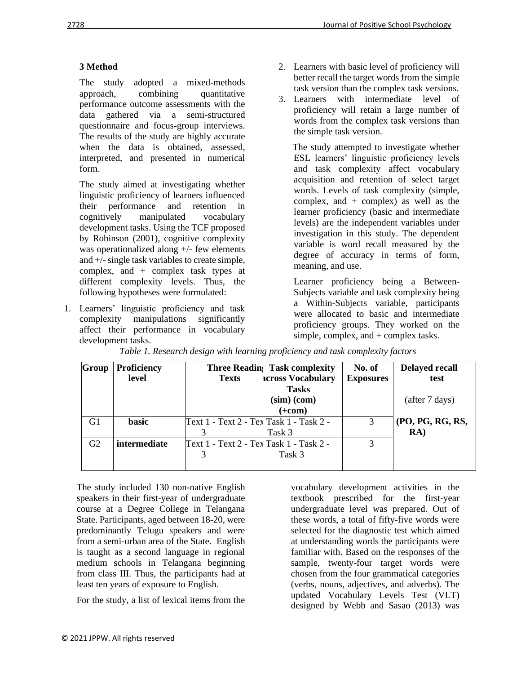## **3 Method**

The study adopted a mixed-methods approach, combining quantitative performance outcome assessments with the data gathered via a semi-structured questionnaire and focus-group interviews. The results of the study are highly accurate when the data is obtained, assessed, interpreted, and presented in numerical form.

The study aimed at investigating whether linguistic proficiency of learners influenced their performance and retention in cognitively manipulated vocabulary development tasks. Using the TCF proposed by Robinson (2001), cognitive complexity was operationalized along +/- few elements and  $+/-$  single task variables to create simple, complex, and + complex task types at different complexity levels. Thus, the following hypotheses were formulated:

1. Learners' linguistic proficiency and task complexity manipulations significantly affect their performance in vocabulary development tasks.

- 2. Learners with basic level of proficiency will better recall the target words from the simple task version than the complex task versions.
- 3. Learners with intermediate level of proficiency will retain a large number of words from the complex task versions than the simple task version.

The study attempted to investigate whether ESL learners' linguistic proficiency levels and task complexity affect vocabulary acquisition and retention of select target words. Levels of task complexity (simple, complex, and + complex) as well as the learner proficiency (basic and intermediate levels) are the independent variables under investigation in this study. The dependent variable is word recall measured by the degree of accuracy in terms of form, meaning, and use.

Learner proficiency being a Between-Subjects variable and task complexity being a Within-Subjects variable, participants were allocated to basic and intermediate proficiency groups. They worked on the simple, complex, and + complex tasks.

| Group          | Proficiency  |                                         | <b>Three Readin</b> Task complexity | No. of           | <b>Delayed recall</b> |
|----------------|--------------|-----------------------------------------|-------------------------------------|------------------|-----------------------|
|                | level        | <b>Texts</b>                            | <b>across Vocabulary</b>            | <b>Exposures</b> | test                  |
|                |              |                                         | <b>Tasks</b>                        |                  |                       |
|                |              |                                         | $(sim)$ (com)                       |                  | (after 7 days)        |
|                |              |                                         | $(+com)$                            |                  |                       |
| G1             | <b>basic</b> | Text 1 - Text 2 - Tex Task 1 - Task 2 - |                                     | 3                | (PO, PG, RG, RS,      |
|                |              |                                         | Task 3                              |                  | RA)                   |
| G <sub>2</sub> | intermediate | Text 1 - Text 2 - Tex Task 1 - Task 2 - |                                     | 3                |                       |
|                |              |                                         | Task 3                              |                  |                       |
|                |              |                                         |                                     |                  |                       |

*Table 1. Research design with learning proficiency and task complexity factors*

The study included 130 non-native English speakers in their first-year of undergraduate course at a Degree College in Telangana State. Participants, aged between 18-20, were predominantly Telugu speakers and were from a semi-urban area of the State. English is taught as a second language in regional medium schools in Telangana beginning from class III. Thus, the participants had at least ten years of exposure to English.

For the study, a list of lexical items from the

vocabulary development activities in the textbook prescribed for the first-year undergraduate level was prepared. Out of these words, a total of fifty-five words were selected for the diagnostic test which aimed at understanding words the participants were familiar with. Based on the responses of the sample, twenty-four target words were chosen from the four grammatical categories (verbs, nouns, adjectives, and adverbs). The updated Vocabulary Levels Test (VLT) designed by Webb and Sasao (2013) was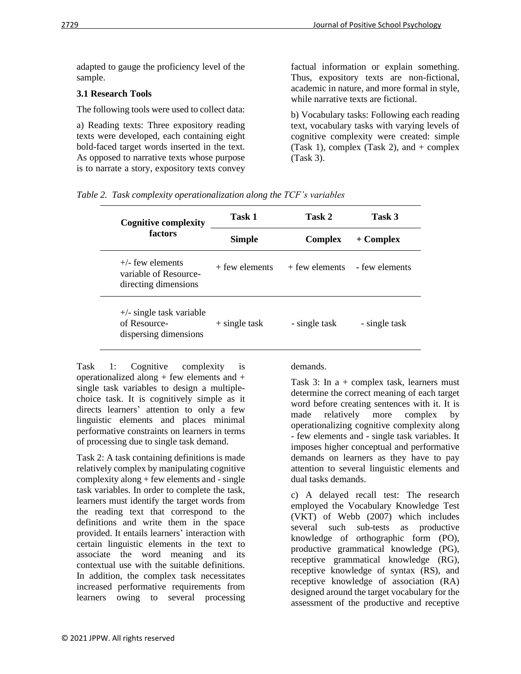adapted to gauge the proficiency level of the sample.

## **3.1 Research Tools**

The following tools were used to collect data:

a) Reading texts: Three expository reading texts were developed, each containing eight bold-faced target words inserted in the text. As opposed to narrative texts whose purpose is to narrate a story, expository texts convey factual information or explain something. Thus, expository texts are non-fictional, academic in nature, and more formal in style, while narrative texts are fictional.

b) Vocabulary tasks: Following each reading text, vocabulary tasks with varying levels of cognitive complexity were created: simple (Task 1), complex (Task 2), and  $+$  complex (Task 3).

|  |  | Table 2. Task complexity operationalization along the TCF's variables |  |  |
|--|--|-----------------------------------------------------------------------|--|--|
|--|--|-----------------------------------------------------------------------|--|--|

| <b>Cognitive complexity</b>                                               | Task 1           | Task 2           | Task 3         |  |
|---------------------------------------------------------------------------|------------------|------------------|----------------|--|
| factors                                                                   | <b>Simple</b>    | <b>Complex</b>   | $+$ Complex    |  |
| $+/-$ few elements<br>variable of Resource-<br>directing dimensions       | $+$ few elements | $+$ few elements | - few elements |  |
| $+\prime$ - single task variable<br>of Resource-<br>dispersing dimensions | $+$ single task  | - single task    | - single task  |  |

Task 1: Cognitive complexity is operationalized along  $+$  few elements and  $+$ single task variables to design a multiplechoice task. It is cognitively simple as it directs learners' attention to only a few linguistic elements and places minimal performative constraints on learners in terms of processing due to single task demand.

Task 2: A task containing definitions is made relatively complex by manipulating cognitive complexity along + few elements and - single task variables. In order to complete the task, learners must identify the target words from the reading text that correspond to the definitions and write them in the space provided. It entails learners' interaction with certain linguistic elements in the text to associate the word meaning and its contextual use with the suitable definitions. In addition, the complex task necessitates increased performative requirements from learners owing to several processing

demands.

Task 3: In  $a +$  complex task, learners must determine the correct meaning of each target word before creating sentences with it. It is made relatively more complex by operationalizing cognitive complexity along - few elements and - single task variables. It imposes higher conceptual and performative demands on learners as they have to pay attention to several linguistic elements and dual tasks demands.

c) A delayed recall test: The research employed the Vocabulary Knowledge Test (VKT) of Webb (2007) which includes several such sub-tests as productive knowledge of orthographic form (PO), productive grammatical knowledge (PG), receptive grammatical knowledge (RG), receptive knowledge of syntax (RS), and receptive knowledge of association (RA) designed around the target vocabulary for the assessment of the productive and receptive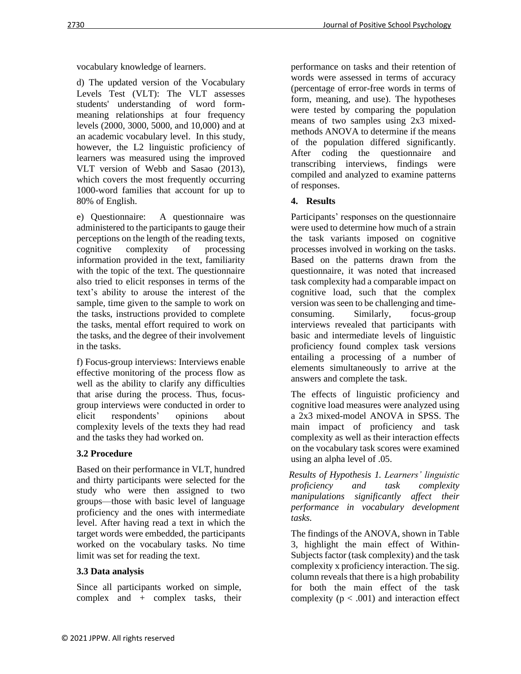vocabulary knowledge of learners.

d) The updated version of the Vocabulary Levels Test (VLT): The VLT assesses students' understanding of word formmeaning relationships at four frequency levels (2000, 3000, 5000, and 10,000) and at an academic vocabulary level. In this study, however, the L2 linguistic proficiency of learners was measured using the improved VLT version of Webb and Sasao (2013), which covers the most frequently occurring 1000-word families that account for up to 80% of English.

e) Questionnaire: A questionnaire was administered to the participants to gauge their perceptions on the length of the reading texts, cognitive complexity of processing information provided in the text, familiarity with the topic of the text. The questionnaire also tried to elicit responses in terms of the text's ability to arouse the interest of the sample, time given to the sample to work on the tasks, instructions provided to complete the tasks, mental effort required to work on the tasks, and the degree of their involvement in the tasks.

f) Focus-group interviews: Interviews enable effective monitoring of the process flow as well as the ability to clarify any difficulties that arise during the process. Thus, focusgroup interviews were conducted in order to elicit respondents' opinions about complexity levels of the texts they had read and the tasks they had worked on.

# **3.2 Procedure**

Based on their performance in VLT, hundred and thirty participants were selected for the study who were then assigned to two groups—those with basic level of language proficiency and the ones with intermediate level. After having read a text in which the target words were embedded, the participants worked on the vocabulary tasks. No time limit was set for reading the text.

## **3.3 Data analysis**

Since all participants worked on simple, complex and + complex tasks, their

performance on tasks and their retention of words were assessed in terms of accuracy (percentage of error-free words in terms of form, meaning, and use). The hypotheses were tested by comparing the population means of two samples using 2x3 mixedmethods ANOVA to determine if the means of the population differed significantly. After coding the questionnaire and transcribing interviews, findings were compiled and analyzed to examine patterns of responses.

## **4. Results**

Participants' responses on the questionnaire were used to determine how much of a strain the task variants imposed on cognitive processes involved in working on the tasks. Based on the patterns drawn from the questionnaire, it was noted that increased task complexity had a comparable impact on cognitive load, such that the complex version was seen to be challenging and timeconsuming. Similarly, focus-group interviews revealed that participants with basic and intermediate levels of linguistic proficiency found complex task versions entailing a processing of a number of elements simultaneously to arrive at the answers and complete the task.

The effects of linguistic proficiency and cognitive load measures were analyzed using a 2x3 mixed-model ANOVA in SPSS. The main impact of proficiency and task complexity as well as their interaction effects on the vocabulary task scores were examined using an alpha level of .05.

 *Results of Hypothesis 1. Learners' linguistic proficiency and task complexity manipulations significantly affect their performance in vocabulary development tasks.*

The findings of the ANOVA, shown in Table 3, highlight the main effect of Within-Subjects factor (task complexity) and the task complexity x proficiency interaction. The sig. column reveals that there is a high probability for both the main effect of the task complexity ( $p < .001$ ) and interaction effect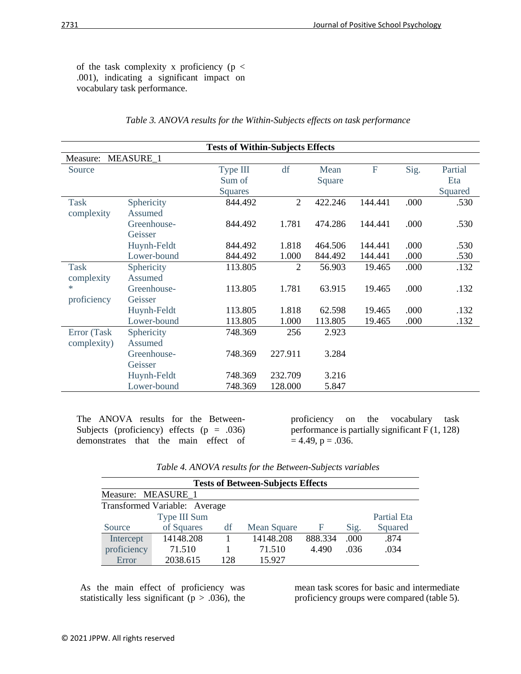of the task complexity x proficiency (p < .001), indicating a significant impact on vocabulary task performance.

| <b>Tests of Within-Subjects Effects</b> |                  |                |                |         |         |      |         |  |
|-----------------------------------------|------------------|----------------|----------------|---------|---------|------|---------|--|
| Measure:                                | <b>MEASURE_1</b> |                |                |         |         |      |         |  |
| Source                                  |                  | Type III       | df             | Mean    | F       | Sig. | Partial |  |
|                                         |                  | Sum of         |                | Square  |         |      | Eta     |  |
|                                         |                  | <b>Squares</b> |                |         |         |      | Squared |  |
| <b>Task</b>                             | Sphericity       | 844.492        | $\overline{2}$ | 422.246 | 144.441 | .000 | .530    |  |
| complexity                              | Assumed          |                |                |         |         |      |         |  |
|                                         | Greenhouse-      | 844.492        | 1.781          | 474.286 | 144.441 | .000 | .530    |  |
|                                         | Geisser          |                |                |         |         |      |         |  |
|                                         | Huynh-Feldt      | 844.492        | 1.818          | 464.506 | 144.441 | .000 | .530    |  |
|                                         | Lower-bound      | 844.492        | 1.000          | 844.492 | 144.441 | .000 | .530    |  |
| <b>Task</b>                             | Sphericity       | 113.805        | 2              | 56.903  | 19.465  | .000 | .132    |  |
| complexity                              | Assumed          |                |                |         |         |      |         |  |
| $\ast$                                  | Greenhouse-      | 113.805        | 1.781          | 63.915  | 19.465  | .000 | .132    |  |
| proficiency                             | Geisser          |                |                |         |         |      |         |  |
|                                         | Huynh-Feldt      | 113.805        | 1.818          | 62.598  | 19.465  | .000 | .132    |  |
|                                         | Lower-bound      | 113.805        | 1.000          | 113.805 | 19.465  | .000 | .132    |  |
| Error (Task                             | Sphericity       | 748.369        | 256            | 2.923   |         |      |         |  |
| complexity)                             | Assumed          |                |                |         |         |      |         |  |
|                                         | Greenhouse-      | 748.369        | 227.911        | 3.284   |         |      |         |  |
|                                         | Geisser          |                |                |         |         |      |         |  |
|                                         | Huynh-Feldt      | 748.369        | 232.709        | 3.216   |         |      |         |  |
|                                         | Lower-bound      | 748.369        | 128.000        | 5.847   |         |      |         |  |

#### *Table 3. ANOVA results for the Within-Subjects effects on task performance*

The ANOVA results for the Between-Subjects (proficiency) effects ( $p = .036$ ) demonstrates that the main effect of

proficiency on the vocabulary task performance is partially significant F (1, 128)  $= 4.49, p = .036.$ 

|  |  | Table 4. ANOVA results for the Between-Subjects variables |  |
|--|--|-----------------------------------------------------------|--|
|--|--|-----------------------------------------------------------|--|

| <b>Tests of Between-Subjects Effects</b> |              |     |             |         |      |             |  |  |  |
|------------------------------------------|--------------|-----|-------------|---------|------|-------------|--|--|--|
| Measure: MEASURE 1                       |              |     |             |         |      |             |  |  |  |
| Transformed Variable: Average            |              |     |             |         |      |             |  |  |  |
|                                          | Type III Sum |     |             |         |      | Partial Eta |  |  |  |
| Source                                   | of Squares   | df  | Mean Square | F       | Sig. | Squared     |  |  |  |
| Intercept                                | 14148.208    |     | 14148.208   | 888.334 | .000 | .874        |  |  |  |
| proficiency                              | 71.510       |     | 71.510      | 4.490   | .036 | .034        |  |  |  |
| Error                                    | 2038.615     | 128 | 15.927      |         |      |             |  |  |  |

As the main effect of proficiency was statistically less significant ( $p > .036$ ), the mean task scores for basic and intermediate proficiency groups were compared (table 5).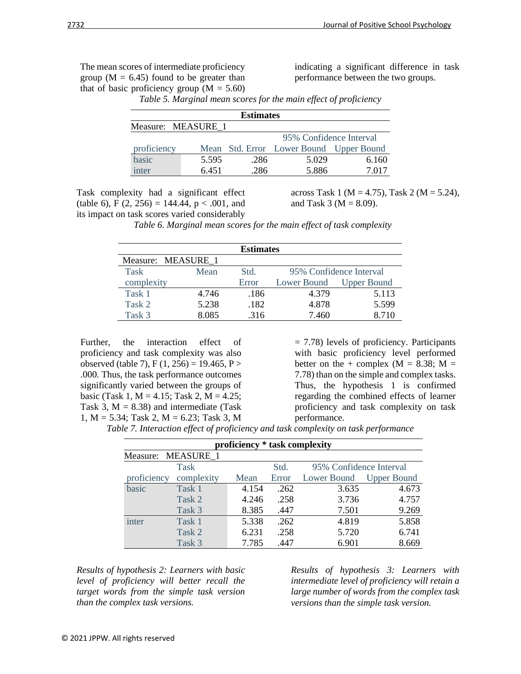The mean scores of intermediate proficiency group ( $M = 6.45$ ) found to be greater than that of basic proficiency group  $(M = 5.60)$ 

indicating a significant difference in task performance between the two groups.

| <b>Estimates</b>   |       |      |                                         |       |  |  |  |  |  |
|--------------------|-------|------|-----------------------------------------|-------|--|--|--|--|--|
| Measure: MEASURE 1 |       |      |                                         |       |  |  |  |  |  |
|                    |       |      | 95% Confidence Interval                 |       |  |  |  |  |  |
| proficiency        |       |      | Mean Std. Error Lower Bound Upper Bound |       |  |  |  |  |  |
| basic              | 5.595 | .286 | 5.029                                   | 6.160 |  |  |  |  |  |
| inter              | 6.451 | .286 | 5.886                                   | 7 017 |  |  |  |  |  |

*Table 5. Marginal mean scores for the main effect of proficiency*

Task complexity had a significant effect (table 6), F  $(2, 256) = 144.44$ , p < .001, and its impact on task scores varied considerably

across Task 1 (M = 4.75), Task 2 (M = 5.24), and Task 3 ( $M = 8.09$ ).

 *Table 6. Marginal mean scores for the main effect of task complexity*

| <b>Estimates</b>   |       |       |                         |                    |  |  |  |  |  |
|--------------------|-------|-------|-------------------------|--------------------|--|--|--|--|--|
| Measure: MEASURE 1 |       |       |                         |                    |  |  |  |  |  |
| <b>Task</b>        | Mean  | Std.  | 95% Confidence Interval |                    |  |  |  |  |  |
| complexity         |       | Error | Lower Bound             | <b>Upper Bound</b> |  |  |  |  |  |
| Task 1             | 4.746 | .186  | 4.379                   | 5.113              |  |  |  |  |  |
| Task 2             | 5.238 | .182  | 4.878                   | 5.599              |  |  |  |  |  |
| Task 3             | 8.085 | .316  | 7.460                   | 8.710              |  |  |  |  |  |

Further, the interaction effect of proficiency and task complexity was also observed (table 7), F  $(1, 256) = 19.465$ , P > .000. Thus, the task performance outcomes significantly varied between the groups of basic (Task 1,  $M = 4.15$ ; Task 2,  $M = 4.25$ ; Task 3,  $M = 8.38$ ) and intermediate (Task 1, M = 5.34; Task 2, M = 6.23; Task 3, M = 7.78) levels of proficiency. Participants with basic proficiency level performed better on the + complex  $(M = 8.38; M =$ 7.78) than on the simple and complex tasks. Thus, the hypothesis 1 is confirmed regarding the combined effects of learner proficiency and task complexity on task performance.

*Table 7. Interaction effect of proficiency and task complexity on task performance*

| proficiency * task complexity |             |       |       |                         |                    |  |  |  |
|-------------------------------|-------------|-------|-------|-------------------------|--------------------|--|--|--|
| Measure: MEASURE 1            |             |       |       |                         |                    |  |  |  |
|                               | <b>Task</b> |       | Std.  | 95% Confidence Interval |                    |  |  |  |
| proficiency                   | complexity  | Mean  | Error | Lower Bound             | <b>Upper Bound</b> |  |  |  |
| basic                         | Task 1      | 4.154 | .262  | 3.635                   | 4.673              |  |  |  |
|                               | Task 2      | 4.246 | .258  | 3.736                   | 4.757              |  |  |  |
|                               | Task 3      | 8.385 | .447  | 7.501                   | 9.269              |  |  |  |
| inter                         | Task 1      | 5.338 | .262  | 4.819                   | 5.858              |  |  |  |
|                               | Task 2      | 6.231 | .258  | 5.720                   | 6.741              |  |  |  |
|                               | Task 3      | 7.785 | .447  | 6.901                   | 8.669              |  |  |  |

*Results of hypothesis 2: Learners with basic level of proficiency will better recall the target words from the simple task version than the complex task versions.*

*Results of hypothesis 3: Learners with intermediate level of proficiency will retain a large number of words from the complex task versions than the simple task version.*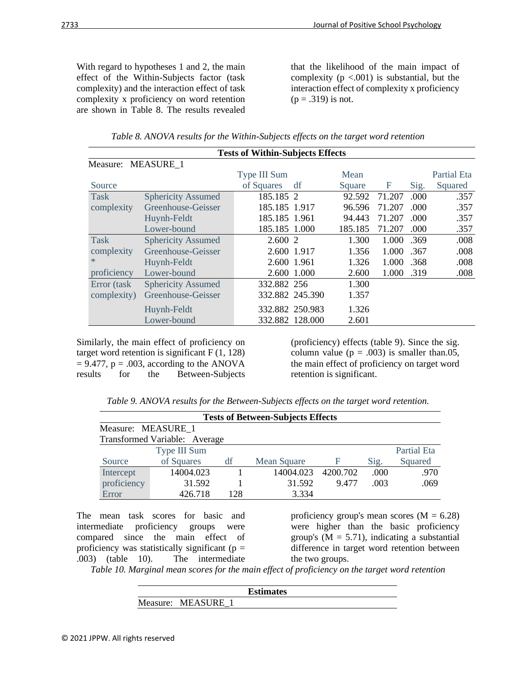With regard to hypotheses 1 and 2, the main effect of the Within-Subjects factor (task complexity) and the interaction effect of task complexity x proficiency on word retention are shown in Table 8. The results revealed

that the likelihood of the main impact of complexity  $(p < .001)$  is substantial, but the interaction effect of complexity x proficiency  $(p = .319)$  is not.

| <b>Tests of Within-Subjects Effects</b> |                           |               |                 |         |        |      |             |  |  |
|-----------------------------------------|---------------------------|---------------|-----------------|---------|--------|------|-------------|--|--|
| Measure: MEASURE 1                      |                           |               |                 |         |        |      |             |  |  |
|                                         |                           | Type III Sum  |                 | Mean    |        |      | Partial Eta |  |  |
| Source                                  |                           | of Squares    | df              | Square  | F      | Sig. | Squared     |  |  |
| <b>Task</b>                             | <b>Sphericity Assumed</b> | 185.185 2     |                 | 92.592  | 71.207 | .000 | .357        |  |  |
| complexity                              | Greenhouse-Geisser        | 185.185 1.917 |                 | 96.596  | 71.207 | .000 | .357        |  |  |
|                                         | Huynh-Feldt               | 185.185 1.961 |                 | 94.443  | 71.207 | .000 | .357        |  |  |
|                                         | Lower-bound               | 185.185 1.000 |                 | 185.185 | 71.207 | .000 | .357        |  |  |
| <b>Task</b>                             | <b>Sphericity Assumed</b> | 2.600 2       |                 | 1.300   | 1.000  | .369 | .008        |  |  |
| complexity                              | Greenhouse-Geisser        | 2.600 1.917   |                 | 1.356   | 1.000  | .367 | .008        |  |  |
| *.                                      | Huynh-Feldt               | 2.600 1.961   |                 | 1.326   | 1.000  | .368 | .008        |  |  |
| proficiency                             | Lower-bound               |               | 2.600 1.000     | 2.600   | 1.000  | .319 | .008        |  |  |
| Error (task                             | <b>Sphericity Assumed</b> | 332.882 256   |                 | 1.300   |        |      |             |  |  |
| complexity)                             | Greenhouse-Geisser        |               | 332.882 245.390 | 1.357   |        |      |             |  |  |
|                                         | Huynh-Feldt               |               | 332.882 250.983 | 1.326   |        |      |             |  |  |
|                                         | Lower-bound               |               | 332.882 128.000 | 2.601   |        |      |             |  |  |

| Table 8. ANOVA results for the Within-Subjects effects on the target word retention |  |  |  |
|-------------------------------------------------------------------------------------|--|--|--|
|                                                                                     |  |  |  |

Similarly, the main effect of proficiency on target word retention is significant  $F(1, 128)$  $= 9.477$ ,  $p = .003$ , according to the ANOVA results for the Between-Subjects

(proficiency) effects (table 9). Since the sig. column value ( $p = .003$ ) is smaller than.05, the main effect of proficiency on target word retention is significant.

*Table 9. ANOVA results for the Between-Subjects effects on the target word retention.*

| <b>Tests of Between-Subjects Effects</b> |              |     |             |          |      |                    |  |  |
|------------------------------------------|--------------|-----|-------------|----------|------|--------------------|--|--|
| Measure: MEASURE 1                       |              |     |             |          |      |                    |  |  |
| Transformed Variable: Average            |              |     |             |          |      |                    |  |  |
|                                          | Type III Sum |     |             |          |      | <b>Partial Eta</b> |  |  |
| Source                                   | of Squares   | df  | Mean Square | F        | Sig. | Squared            |  |  |
| Intercept                                | 14004.023    |     | 14004.023   | 4200.702 | .000 | .970               |  |  |
| proficiency                              | 31.592       |     | 31.592      | 9.477    | .003 | .069               |  |  |
| Error                                    | 426.718      | 128 | 3.334       |          |      |                    |  |  |

The mean task scores for basic and intermediate proficiency groups were compared since the main effect of proficiency was statistically significant ( $p =$ .003) (table 10). The intermediate

proficiency group's mean scores  $(M = 6.28)$ were higher than the basic proficiency group's  $(M = 5.71)$ , indicating a substantial difference in target word retention between the two groups.

*Table 10. Marginal mean scores for the main effect of proficiency on the target word retention*

|                  | <b>Estimates</b> |  |
|------------------|------------------|--|
| Measure: MEASURE |                  |  |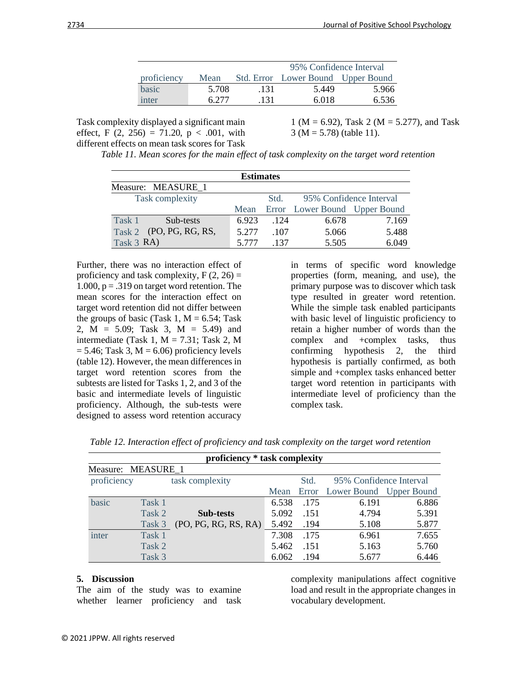|             |       |      | 95% Confidence Interval            |       |  |  |
|-------------|-------|------|------------------------------------|-------|--|--|
| proficiency | Mean  |      | Std. Error Lower Bound Upper Bound |       |  |  |
| basic       | 5.708 | .131 | 5.449                              | 5.966 |  |  |
| inter       | 6 277 | .131 | 6.018                              | 6.536 |  |  |

Task complexity displayed a significant main effect, F  $(2, 256) = 71.20$ , p < .001, with different effects on mean task scores for Task

1 ( $M = 6.92$ ), Task 2 ( $M = 5.277$ ), and Task  $3 (M = 5.78)$  (table 11).

*Table 11. Mean scores for the main effect of task complexity on the target word retention*

| <b>Estimates</b> |                         |       |      |                               |       |  |
|------------------|-------------------------|-------|------|-------------------------------|-------|--|
|                  | Measure: MEASURE 1      |       |      |                               |       |  |
| Task complexity  |                         |       | Std. | 95% Confidence Interval       |       |  |
|                  |                         | Mean  |      | Error Lower Bound Upper Bound |       |  |
| Task 1           | Sub-tests               | 6.923 | .124 | 6.678                         | 7.169 |  |
|                  | Task 2 (PO, PG, RG, RS, | 5.277 | .107 | 5.066                         | 5.488 |  |
| Task $3$ RA)     |                         | 5 777 | -137 | 5.505                         | 6.049 |  |

Further, there was no interaction effect of proficiency and task complexity,  $F(2, 26) =$ 1.000,  $p = .319$  on target word retention. The mean scores for the interaction effect on target word retention did not differ between the groups of basic (Task 1,  $M = 6.54$ ; Task 2, M = 5.09; Task 3, M = 5.49) and intermediate (Task 1,  $M = 7.31$ ; Task 2, M  $= 5.46$ ; Task 3, M  $= 6.06$ ) proficiency levels (table 12). However, the mean differences in target word retention scores from the subtests are listed for Tasks 1, 2, and 3 of the basic and intermediate levels of linguistic proficiency. Although, the sub-tests were designed to assess word retention accuracy

in terms of specific word knowledge properties (form, meaning, and use), the primary purpose was to discover which task type resulted in greater word retention. While the simple task enabled participants with basic level of linguistic proficiency to retain a higher number of words than the complex and +complex tasks, thus confirming hypothesis 2, the third hypothesis is partially confirmed, as both simple and +complex tasks enhanced better target word retention in participants with intermediate level of proficiency than the complex task.

| proficiency * task complexity |                                |                      |       |      |                               |       |
|-------------------------------|--------------------------------|----------------------|-------|------|-------------------------------|-------|
| Measure: MEASURE 1            |                                |                      |       |      |                               |       |
|                               | proficiency<br>task complexity |                      |       | Std. | 95% Confidence Interval       |       |
|                               |                                |                      | Mean  |      | Error Lower Bound Upper Bound |       |
| basic                         | Task 1                         |                      | 6.538 | .175 | 6.191                         | 6.886 |
|                               | Task 2                         | <b>Sub-tests</b>     | 5.092 | .151 | 4.794                         | 5.391 |
|                               | Task 3                         | (PO, PG, RG, RS, RA) | 5.492 | .194 | 5.108                         | 5.877 |
| inter                         | Task 1                         |                      | 7.308 | .175 | 6.961                         | 7.655 |
|                               | Task 2                         |                      | 5.462 | .151 | 5.163                         | 5.760 |
|                               | Task 3                         |                      | 6.062 | .194 | 5.677                         | 6.446 |

*Table 12. Interaction effect of proficiency and task complexity on the target word retention*

#### **5. Discussion**

The aim of the study was to examine whether learner proficiency and task

complexity manipulations affect cognitive load and result in the appropriate changes in vocabulary development.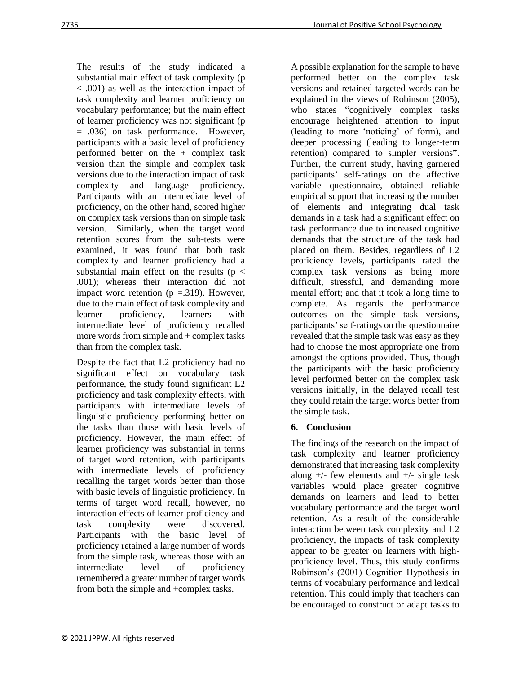The results of the study indicated a substantial main effect of task complexity (p < .001) as well as the interaction impact of task complexity and learner proficiency on vocabulary performance; but the main effect of learner proficiency was not significant (p = .036) on task performance. However, participants with a basic level of proficiency performed better on the + complex task version than the simple and complex task versions due to the interaction impact of task complexity and language proficiency. Participants with an intermediate level of proficiency, on the other hand, scored higher on complex task versions than on simple task version. Similarly, when the target word retention scores from the sub-tests were examined, it was found that both task complexity and learner proficiency had a substantial main effect on the results ( $p <$ .001); whereas their interaction did not impact word retention  $(p = .319)$ . However, due to the main effect of task complexity and learner proficiency, learners with intermediate level of proficiency recalled more words from simple and + complex tasks than from the complex task.

Despite the fact that L2 proficiency had no significant effect on vocabulary task performance, the study found significant L2 proficiency and task complexity effects, with participants with intermediate levels of linguistic proficiency performing better on the tasks than those with basic levels of proficiency. However, the main effect of learner proficiency was substantial in terms of target word retention, with participants with intermediate levels of proficiency recalling the target words better than those with basic levels of linguistic proficiency. In terms of target word recall, however, no interaction effects of learner proficiency and task complexity were discovered. Participants with the basic level of proficiency retained a large number of words from the simple task, whereas those with an intermediate level of proficiency remembered a greater number of target words from both the simple and +complex tasks.

A possible explanation for the sample to have performed better on the complex task versions and retained targeted words can be explained in the views of Robinson (2005), who states "cognitively complex tasks" encourage heightened attention to input (leading to more 'noticing' of form), and deeper processing (leading to longer-term retention) compared to simpler versions". Further, the current study, having garnered participants' self-ratings on the affective variable questionnaire, obtained reliable empirical support that increasing the number of elements and integrating dual task demands in a task had a significant effect on task performance due to increased cognitive demands that the structure of the task had placed on them. Besides, regardless of L2 proficiency levels, participants rated the complex task versions as being more difficult, stressful, and demanding more mental effort; and that it took a long time to complete. As regards the performance outcomes on the simple task versions, participants' self-ratings on the questionnaire revealed that the simple task was easy as they had to choose the most appropriate one from amongst the options provided. Thus, though the participants with the basic proficiency level performed better on the complex task versions initially, in the delayed recall test they could retain the target words better from the simple task.

# **6. Conclusion**

The findings of the research on the impact of task complexity and learner proficiency demonstrated that increasing task complexity along  $+/-$  few elements and  $+/-$  single task variables would place greater cognitive demands on learners and lead to better vocabulary performance and the target word retention. As a result of the considerable interaction between task complexity and L2 proficiency, the impacts of task complexity appear to be greater on learners with highproficiency level. Thus, this study confirms Robinson's (2001) Cognition Hypothesis in terms of vocabulary performance and lexical retention. This could imply that teachers can be encouraged to construct or adapt tasks to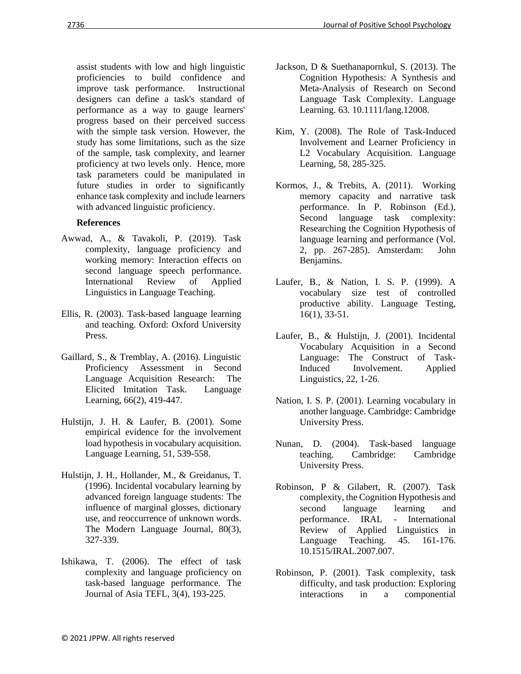assist students with low and high linguistic proficiencies to build confidence and<br>improve task performance. Instructional improve task performance. designers can define a task's standard of performance as a way to gauge learners' progress based on their perceived success with the simple task version. However, the study has some limitations, such as the size of the sample, task complexity, and learner proficiency at two levels only. Hence, more task parameters could be manipulated in future studies in order to significantly enhance task complexity and include learners with advanced linguistic proficiency.

## **References**

- Awwad, A., & Tavakoli, P. (2019). Task complexity, language proficiency and working memory: Interaction effects on second language speech performance. International Review of Applied Linguistics in Language Teaching.
- Ellis, R. (2003). Task-based language learning and teaching. Oxford: Oxford University Press.
- Gaillard, S., & Tremblay, A. (2016). Linguistic Proficiency Assessment in Second Language Acquisition Research: The Elicited Imitation Task. Language Learning, 66(2), 419-447.
- Hulstijn, J. H. & Laufer, B. (2001). Some empirical evidence for the involvement load hypothesis in vocabulary acquisition. Language Learning, 51, 539-558.
- Hulstijn, J. H., Hollander, M., & Greidanus, T. (1996). Incidental vocabulary learning by advanced foreign language students: The influence of marginal glosses, dictionary use, and reoccurrence of unknown words. The Modern Language Journal, 80(3), 327-339.
- Ishikawa, T. (2006). The effect of task complexity and language proficiency on task-based language performance. The Journal of Asia TEFL, 3(4), 193-225.
- Jackson, D & Suethanapornkul, S. (2013). The Cognition Hypothesis: A Synthesis and Meta-Analysis of Research on Second Language Task Complexity. Language Learning. 63. 10.1111/lang.12008.
- Kim, Y. (2008). The Role of Task-Induced Involvement and Learner Proficiency in L2 Vocabulary Acquisition. Language Learning, 58, 285-325.
- Kormos, J., & Trebits, A. (2011). Working memory capacity and narrative task performance. In P. Robinson (Ed.), Second language task complexity: Researching the Cognition Hypothesis of language learning and performance (Vol. 2, pp. 267-285). Amsterdam: John Benjamins.
- Laufer, B., & Nation, I. S. P. (1999). A vocabulary size test of controlled productive ability. Language Testing, 16(1), 33-51.
- Laufer, B., & Hulstijn, J. (2001). Incidental Vocabulary Acquisition in a Second Language: The Construct of Task-Induced Involvement. Applied Linguistics, 22, 1-26.
- Nation, I. S. P. (2001). Learning vocabulary in another language. Cambridge: Cambridge University Press.
- Nunan, D. (2004). Task-based language teaching. Cambridge: Cambridge University Press.
- Robinson, P & Gilabert, R. (2007). Task complexity, the Cognition Hypothesis and second language learning and performance. IRAL - International Review of Applied Linguistics in Language Teaching. 45. 161-176. 10.1515/IRAL.2007.007.
- Robinson, P. (2001). Task complexity, task difficulty, and task production: Exploring interactions in a componential